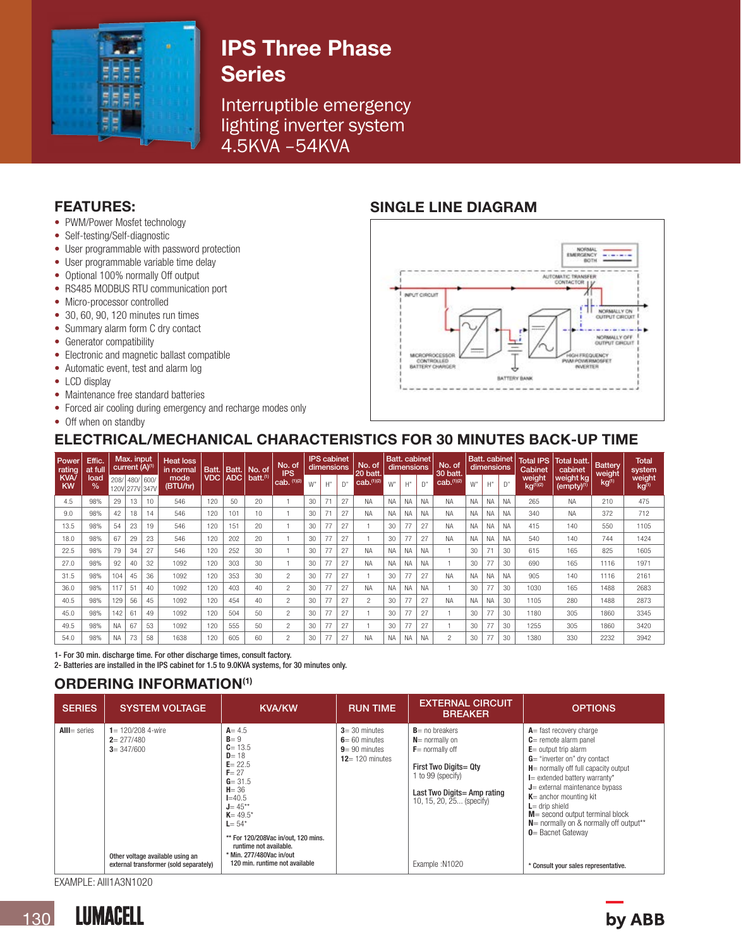

# IPS Three Phase **Series**

Interruptible emergency lighting inverter system 4.5KVA –54KVA

# FEATURES:

- PWM/Power Mosfet technology
- Self-testing/Self-diagnostic
- User programmable with password protection
- User programmable variable time delay
- Optional 100% normally Off output
- RS485 MODBUS RTU communication port
- Micro-processor controlled
- 30, 60, 90, 120 minutes run times
- Summary alarm form C dry contact
- Generator compatibility
- Electronic and magnetic ballast compatible
- Automatic event, test and alarm log
- LCD display
- Maintenance free standard batteries
- Forced air cooling during emergency and recharge modes only
- Off when on standby

# SINGLE LINE DIAGRAM



# ELECTRICAL/MECHANICAL CHARACTERISTICS FOR 30 MINUTES BACK-UP TIME

| Power<br>rating         | Effic.<br>at full     |           | Max. input<br>current (A) <sup>(1)</sup> |                                                      | <b>Heat loss</b><br>in normal | Batt. | Batt. | No. of          | No. of<br><b>IPS</b> | <b>IPS</b> cabinet<br>dimensions |              | No. of<br>20 batt. | <b>Batt.</b> cabinet<br>dimensions |           | No. of<br>30 batt. | Batt. cabinet   Total IPS   Total batt.<br>dimensions |                |           | Cabinet   | cabinet   | <b>Battery</b><br>weight | <b>Total</b><br>system       |                   |                             |
|-------------------------|-----------------------|-----------|------------------------------------------|------------------------------------------------------|-------------------------------|-------|-------|-----------------|----------------------|----------------------------------|--------------|--------------------|------------------------------------|-----------|--------------------|-------------------------------------------------------|----------------|-----------|-----------|-----------|--------------------------|------------------------------|-------------------|-----------------------------|
| <b>KVA</b><br><b>KW</b> | load<br>$\frac{9}{6}$ |           |                                          | mode<br>208/ 480/ 600/<br>(BTU/hr)<br>120V 277V 347V |                               | VDC   | ADC   | $b$ att. $(1)$  | $cab.$ (1)(2)        | W"                               | $H^{\prime}$ | D"                 | cab. <sup>(1)(2)</sup>             | W"        | H''                | D"                                                    | cab.(1)(2)     | W"        | H''       | D"        | weight<br>$kg^{(1)(2)}$  | weight kg<br>$(empty)^{(1)}$ | kg <sup>(1)</sup> | weight<br>kg <sup>(1)</sup> |
| 4.5                     | 98%                   | 29        | 13                                       | 10                                                   | 546                           | 120   | 50    | 20              |                      | 30                               | 71           | 27                 | <b>NA</b>                          | <b>NA</b> | <b>NA</b>          | <b>NA</b>                                             | <b>NA</b>      | <b>NA</b> | <b>NA</b> | <b>NA</b> | 265                      | <b>NA</b>                    | 210               | 475                         |
| 9.0                     | 98%                   | 42        | 18                                       | 14                                                   | 546                           | 120   | 101   | 10 <sup>°</sup> |                      | 30                               | 71           | 27                 | <b>NA</b>                          | <b>NA</b> | <b>NA</b>          | <b>NA</b>                                             | <b>NA</b>      | <b>NA</b> | <b>NA</b> | <b>NA</b> | 340                      | <b>NA</b>                    | 372               | 712                         |
| 13.5                    | 98%                   | 54        | 23                                       | 19                                                   | 546                           | 120   | 151   | 20              |                      | 30                               | 77           | 27                 |                                    | 30        | 77                 | 27                                                    | <b>NA</b>      | <b>NA</b> | <b>NA</b> | <b>NA</b> | 415                      | 140                          | 550               | 1105                        |
| 18.0                    | 98%                   | 67        | 29                                       | 23                                                   | 546                           | 120   | 202   | 20              |                      | 30                               | 77           | 27                 |                                    | 30        | 77                 | 27                                                    | <b>NA</b>      | <b>NA</b> | <b>NA</b> | <b>NA</b> | 540                      | 140                          | 744               | 1424                        |
| 22.5                    | 98%                   | 79        | 34                                       | 27                                                   | 546                           | 120   | 252   | 30              |                      | 30                               | 77           | 27                 | <b>NA</b>                          | <b>NA</b> | <b>NA</b>          | <b>NA</b>                                             |                | 30        | 71        | 30        | 615                      | 165                          | 825               | 1605                        |
| 27.0                    | 98%                   | 92        | 40                                       | 32                                                   | 1092                          | 120   | 303   | 30              |                      | 30                               | 77           | 27                 | <b>NA</b>                          | <b>NA</b> | <b>NA</b>          | <b>NA</b>                                             |                | 30        | 77        | 30        | 690                      | 165                          | 1116              | 1971                        |
| 31.5                    | 98%                   | 104       | 45                                       | 36                                                   | 1092                          | 120   | 353   | 30              | $\overline{c}$       | 30                               | 77           | 27                 |                                    | 30        | 77                 | 27                                                    | <b>NA</b>      | <b>NA</b> | <b>NA</b> | <b>NA</b> | 905                      | 140                          | 1116              | 2161                        |
| 36.0                    | 98%                   | 117       | 51                                       | 40                                                   | 1092                          | 120   | 403   | 40              | $\overline{c}$       | 30                               | 77           | 27                 | <b>NA</b>                          | <b>NA</b> | <b>NA</b>          | <b>NA</b>                                             |                | 30        | 77        | 30        | 1030                     | 165                          | 1488              | 2683                        |
| 40.5                    | 98%                   | 129       | 56                                       | 45                                                   | 1092                          | 120   | 454   | 40              | $\mathfrak{p}$       | 30                               | 77           | 27                 | $\overline{c}$                     | 30        | 77                 | 27                                                    | <b>NA</b>      | <b>NA</b> | <b>NA</b> | 30        | 1105                     | 280                          | 1488              | 2873                        |
| 45.0                    | 98%                   | 142       | 61                                       | 49                                                   | 1092                          | 120   | 504   | 50              | $\overline{c}$       | 30                               | 77           | 27                 |                                    | 30        | 77                 | 27                                                    |                | 30        | 77        | 30        | 1180                     | 305                          | 1860              | 3345                        |
| 49.5                    | 98%                   | <b>NA</b> | 67                                       | 53                                                   | 1092                          | 120   | 555   | 50              | $\overline{c}$       | 30                               | 77           | 27                 |                                    | 30        | 77                 | 27                                                    |                | 30        | 77        | 30        | 1255                     | 305                          | 1860              | 3420                        |
| 54.0                    | 98%                   | ΝA        | 73                                       | 58                                                   | 1638                          | 120   | 605   | 60              | $\overline{c}$       | 30                               | 77           | 27                 | <b>NA</b>                          | <b>NA</b> | <b>NA</b>          | <b>NA</b>                                             | $\overline{c}$ | 30        | 77        | 30        | 1380                     | 330                          | 2232              | 3942                        |

1- For 30 min. discharge time. For other discharge times, consult factory.

2- Batteries are installed in the IPS cabinet for 1.5 to 9.0KVA systems, for 30 minutes only.

# ORDERING INFORMATION(1)

| <b>SERIES</b>  | <b>SYSTEM VOLTAGE</b>                                                                                                                | <b>KVA/KW</b>                                                                                                                                                                                                                                                                               | <b>RUN TIME</b>                                                                | <b>EXTERNAL CIRCUIT</b><br><b>BREAKER</b>                                                                                                                                                | <b>OPTIONS</b>                                                                                                                                                                                                                                                                                                                                                                                                                                |
|----------------|--------------------------------------------------------------------------------------------------------------------------------------|---------------------------------------------------------------------------------------------------------------------------------------------------------------------------------------------------------------------------------------------------------------------------------------------|--------------------------------------------------------------------------------|------------------------------------------------------------------------------------------------------------------------------------------------------------------------------------------|-----------------------------------------------------------------------------------------------------------------------------------------------------------------------------------------------------------------------------------------------------------------------------------------------------------------------------------------------------------------------------------------------------------------------------------------------|
| $All = series$ | $1 = 120/208$ 4-wire<br>$2 = 277/480$<br>$3 = 347/600$<br>Other voltage available using an<br>external transformer (sold separately) | $A = 4.5$<br>$B = 9$<br>$C = 13.5$<br>$D = 18$<br>$E = 22.5$<br>$F = 27$<br>$G = 31.5$<br>$H = 36$<br>$I = 40.5$<br>$J = 45***$<br>$K = 49.5^*$<br>$L = 54*$<br>** For 120/208Vac in/out. 120 mins.<br>runtime not available.<br>* Min. 277/480Vac in/out<br>120 min. runtime not available | $3 = 30$ minutes<br>$6 = 60$ minutes<br>$9 = 90$ minutes<br>$12 = 120$ minutes | $B$ = no breakers<br>$N$ = normally on<br>$F$ = normally off<br>First Two Digits= Qty<br>1 to 99 (specify)<br>Last Two Digits = Amp rating<br>10, 15, 20, 25 (specify)<br>Example: N1020 | $A =$ fast recovery charge<br>$C$ = remote alarm panel<br>$E =$ output trip alarm<br>$G =$ "inverter on" dry contact<br>$H$ = normally off full capacity output<br>$I$ = extended battery warranty*<br>$J$ = external maintenance bypass<br>$K$ = anchor mounting kit<br>$L =$ drip shield<br>$M$ = second output terminal block<br>$N$ = normally on & normally off output**<br>$0$ = Bacnet Gateway<br>* Consult your sales representative. |

EXAMPLE: AIII1A3N1020